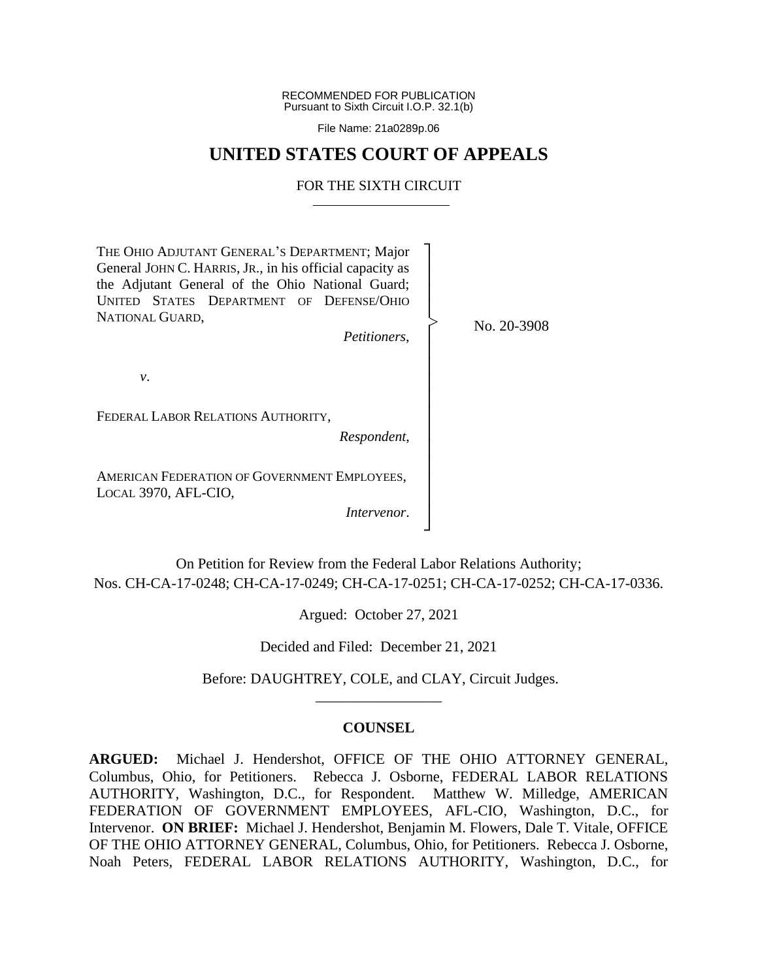RECOMMENDED FOR PUBLICATION Pursuant to Sixth Circuit I.O.P. 32.1(b)

File Name: 21a0289p.06

# **UNITED STATES COURT OF APPEALS**

## FOR THE SIXTH CIRCUIT

THE OHIO ADJUTANT GENERAL'S DEPARTMENT; Major General JOHN C. HARRIS, JR., in his official capacity as the Adjutant General of the Ohio National Guard; UNITED STATES DEPARTMENT OF DEFENSE/OHIO NATIONAL GUARD, *Petitioners*, *v*. FEDERAL LABOR RELATIONS AUTHORITY, *Respondent*, AMERICAN FEDERATION OF GOVERNMENT EMPLOYEES, LOCAL 3970, AFL-CIO, *Intervenor*. ┐ │ │ │ │ │ │ │ │ │ │ │ │ │ │ │ │ No. 20-3908 |<br>|<br>|

On Petition for Review from the Federal Labor Relations Authority; Nos. CH-CA-17-0248; CH-CA-17-0249; CH-CA-17-0251; CH-CA-17-0252; CH-CA-17-0336.

┘

Argued: October 27, 2021

Decided and Filed: December 21, 2021

Before: DAUGHTREY, COLE, and CLAY, Circuit Judges. \_\_\_\_\_\_\_\_\_\_\_\_\_\_\_\_\_

## **COUNSEL**

**ARGUED:** Michael J. Hendershot, OFFICE OF THE OHIO ATTORNEY GENERAL, Columbus, Ohio, for Petitioners. Rebecca J. Osborne, FEDERAL LABOR RELATIONS AUTHORITY, Washington, D.C., for Respondent. Matthew W. Milledge, AMERICAN FEDERATION OF GOVERNMENT EMPLOYEES, AFL-CIO, Washington, D.C., for Intervenor. **ON BRIEF:** Michael J. Hendershot, Benjamin M. Flowers, Dale T. Vitale, OFFICE OF THE OHIO ATTORNEY GENERAL, Columbus, Ohio, for Petitioners. Rebecca J. Osborne, Noah Peters, FEDERAL LABOR RELATIONS AUTHORITY, Washington, D.C., for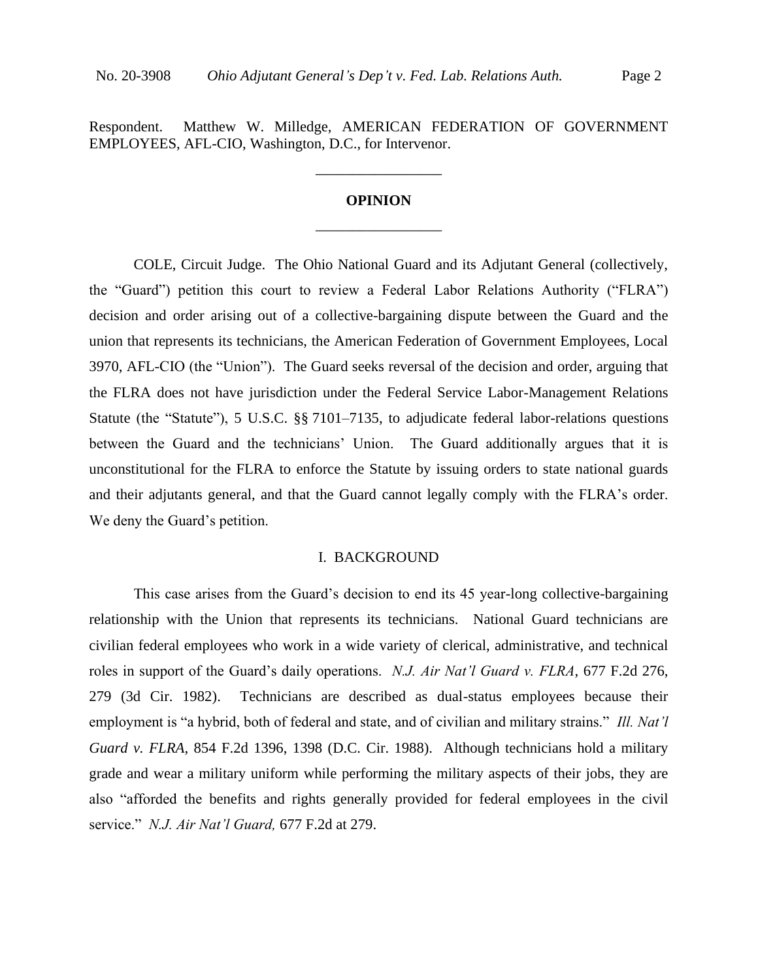EMPLOYEES, AFL-CIO, Washington, D.C., for Intervenor.

# **OPINION** \_\_\_\_\_\_\_\_\_\_\_\_\_\_\_\_\_

\_\_\_\_\_\_\_\_\_\_\_\_\_\_\_\_\_

COLE, Circuit Judge. The Ohio National Guard and its Adjutant General (collectively, the "Guard") petition this court to review a Federal Labor Relations Authority ("FLRA") decision and order arising out of a collective-bargaining dispute between the Guard and the union that represents its technicians, the American Federation of Government Employees, Local 3970, AFL-CIO (the "Union"). The Guard seeks reversal of the decision and order, arguing that the FLRA does not have jurisdiction under the Federal Service Labor-Management Relations Statute (the "Statute"), 5 U.S.C. §§ 7101–7135, to adjudicate federal labor-relations questions between the Guard and the technicians' Union. The Guard additionally argues that it is unconstitutional for the FLRA to enforce the Statute by issuing orders to state national guards and their adjutants general, and that the Guard cannot legally comply with the FLRA's order. We deny the Guard's petition.

## I. BACKGROUND

This case arises from the Guard's decision to end its 45 year-long collective-bargaining relationship with the Union that represents its technicians. National Guard technicians are civilian federal employees who work in a wide variety of clerical, administrative, and technical roles in support of the Guard's daily operations. *N.J. Air Nat'l Guard v. FLRA*, 677 F.2d 276, 279 (3d Cir. 1982). Technicians are described as dual-status employees because their employment is "a hybrid, both of federal and state, and of civilian and military strains." *Ill. Nat'l Guard v. FLRA*, 854 F.2d 1396, 1398 (D.C. Cir. 1988). Although technicians hold a military grade and wear a military uniform while performing the military aspects of their jobs, they are also "afforded the benefits and rights generally provided for federal employees in the civil service." *N.J. Air Nat'l Guard,* 677 F.2d at 279.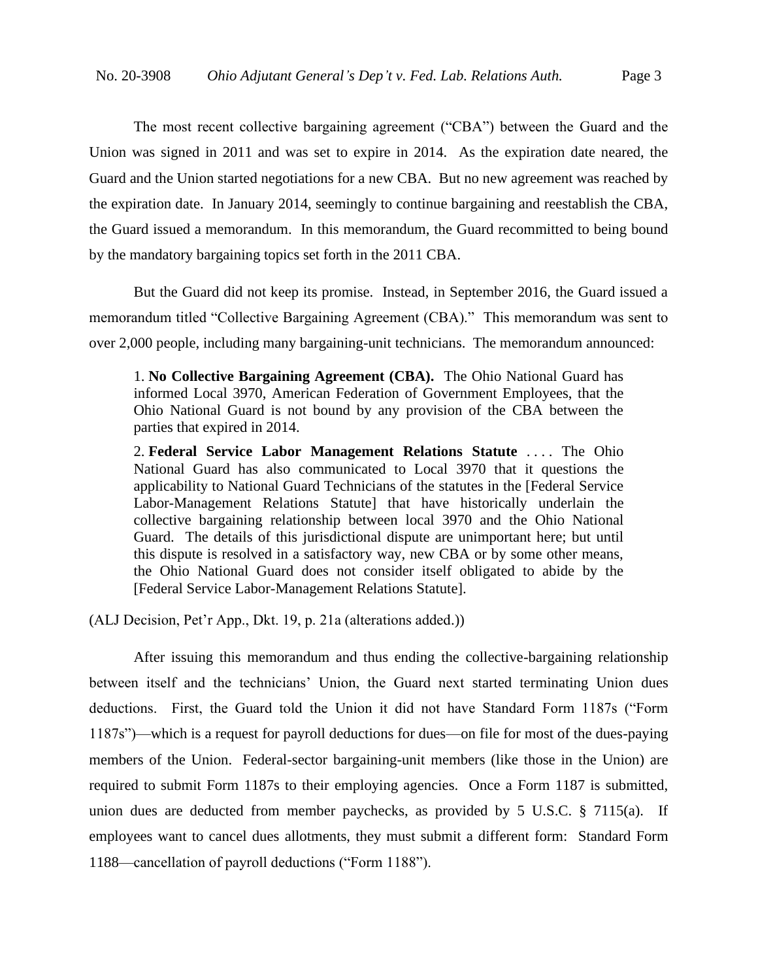The most recent collective bargaining agreement ("CBA") between the Guard and the Union was signed in 2011 and was set to expire in 2014. As the expiration date neared, the Guard and the Union started negotiations for a new CBA. But no new agreement was reached by the expiration date. In January 2014, seemingly to continue bargaining and reestablish the CBA, the Guard issued a memorandum. In this memorandum, the Guard recommitted to being bound by the mandatory bargaining topics set forth in the 2011 CBA.

But the Guard did not keep its promise. Instead, in September 2016, the Guard issued a memorandum titled "Collective Bargaining Agreement (CBA)." This memorandum was sent to over 2,000 people, including many bargaining-unit technicians. The memorandum announced:

1. **No Collective Bargaining Agreement (CBA).** The Ohio National Guard has informed Local 3970, American Federation of Government Employees, that the Ohio National Guard is not bound by any provision of the CBA between the parties that expired in 2014.

2. **Federal Service Labor Management Relations Statute** . . . . The Ohio National Guard has also communicated to Local 3970 that it questions the applicability to National Guard Technicians of the statutes in the [Federal Service Labor-Management Relations Statute] that have historically underlain the collective bargaining relationship between local 3970 and the Ohio National Guard. The details of this jurisdictional dispute are unimportant here; but until this dispute is resolved in a satisfactory way, new CBA or by some other means, the Ohio National Guard does not consider itself obligated to abide by the [Federal Service Labor-Management Relations Statute].

(ALJ Decision, Pet'r App., Dkt. 19, p. 21a (alterations added.))

After issuing this memorandum and thus ending the collective-bargaining relationship between itself and the technicians' Union, the Guard next started terminating Union dues deductions. First, the Guard told the Union it did not have Standard Form 1187s ("Form 1187s")—which is a request for payroll deductions for dues—on file for most of the dues-paying members of the Union. Federal-sector bargaining-unit members (like those in the Union) are required to submit Form 1187s to their employing agencies. Once a Form 1187 is submitted, union dues are deducted from member paychecks, as provided by 5 U.S.C. § 7115(a). If employees want to cancel dues allotments, they must submit a different form: Standard Form 1188—cancellation of payroll deductions ("Form 1188").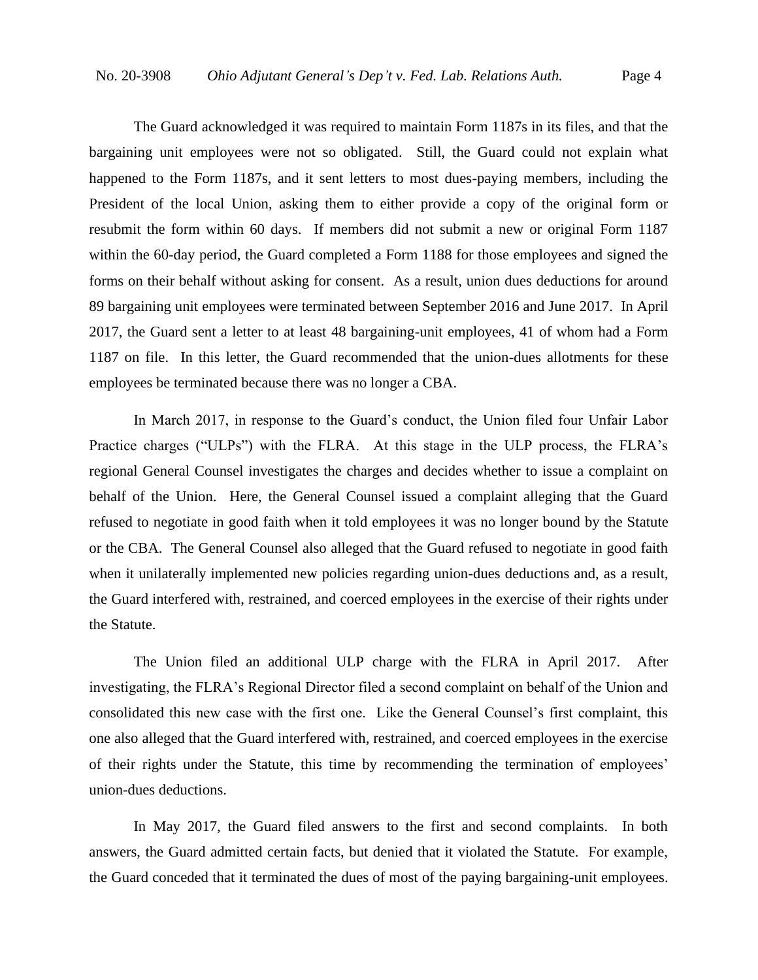The Guard acknowledged it was required to maintain Form 1187s in its files, and that the bargaining unit employees were not so obligated. Still, the Guard could not explain what happened to the Form 1187s, and it sent letters to most dues-paying members, including the President of the local Union, asking them to either provide a copy of the original form or resubmit the form within 60 days. If members did not submit a new or original Form 1187 within the 60-day period, the Guard completed a Form 1188 for those employees and signed the forms on their behalf without asking for consent. As a result, union dues deductions for around 89 bargaining unit employees were terminated between September 2016 and June 2017.In April 2017, the Guard sent a letter to at least 48 bargaining-unit employees, 41 of whom had a Form 1187 on file. In this letter, the Guard recommended that the union-dues allotments for these employees be terminated because there was no longer a CBA.

In March 2017, in response to the Guard's conduct, the Union filed four Unfair Labor Practice charges ("ULPs") with the FLRA. At this stage in the ULP process, the FLRA's regional General Counsel investigates the charges and decides whether to issue a complaint on behalf of the Union. Here, the General Counsel issued a complaint alleging that the Guard refused to negotiate in good faith when it told employees it was no longer bound by the Statute or the CBA. The General Counsel also alleged that the Guard refused to negotiate in good faith when it unilaterally implemented new policies regarding union-dues deductions and, as a result, the Guard interfered with, restrained, and coerced employees in the exercise of their rights under the Statute.

The Union filed an additional ULP charge with the FLRA in April 2017. After investigating, the FLRA's Regional Director filed a second complaint on behalf of the Union and consolidated this new case with the first one. Like the General Counsel's first complaint, this one also alleged that the Guard interfered with, restrained, and coerced employees in the exercise of their rights under the Statute, this time by recommending the termination of employees' union-dues deductions.

In May 2017, the Guard filed answers to the first and second complaints. In both answers, the Guard admitted certain facts, but denied that it violated the Statute. For example, the Guard conceded that it terminated the dues of most of the paying bargaining-unit employees.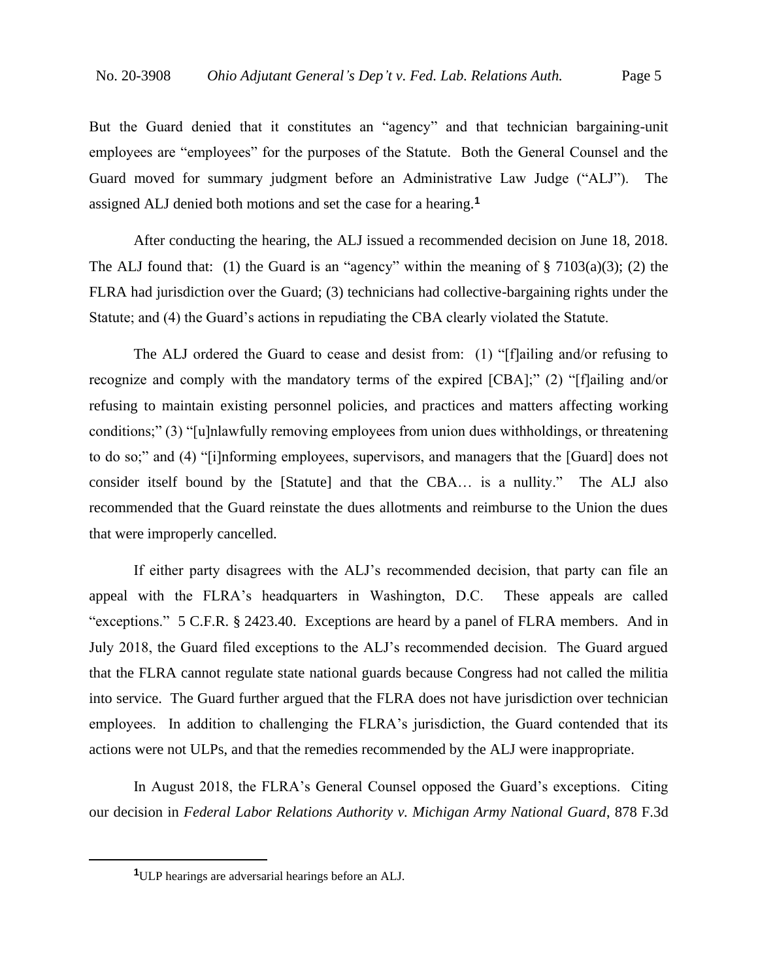But the Guard denied that it constitutes an "agency" and that technician bargaining-unit employees are "employees" for the purposes of the Statute. Both the General Counsel and the Guard moved for summary judgment before an Administrative Law Judge ("ALJ"). The assigned ALJ denied both motions and set the case for a hearing.**<sup>1</sup>**

After conducting the hearing, the ALJ issued a recommended decision on June 18, 2018. The ALJ found that: (1) the Guard is an "agency" within the meaning of  $\S$  7103(a)(3); (2) the FLRA had jurisdiction over the Guard; (3) technicians had collective-bargaining rights under the Statute; and (4) the Guard's actions in repudiating the CBA clearly violated the Statute.

The ALJ ordered the Guard to cease and desist from: (1) "[f]ailing and/or refusing to recognize and comply with the mandatory terms of the expired [CBA];" (2) "[f]ailing and/or refusing to maintain existing personnel policies, and practices and matters affecting working conditions;" (3) "[u]nlawfully removing employees from union dues withholdings, or threatening to do so;" and (4) "[i]nforming employees, supervisors, and managers that the [Guard] does not consider itself bound by the [Statute] and that the CBA… is a nullity." The ALJ also recommended that the Guard reinstate the dues allotments and reimburse to the Union the dues that were improperly cancelled.

If either party disagrees with the ALJ's recommended decision, that party can file an appeal with the FLRA's headquarters in Washington, D.C. These appeals are called "exceptions." 5 C.F.R. § 2423.40. Exceptions are heard by a panel of FLRA members. And in July 2018, the Guard filed exceptions to the ALJ's recommended decision. The Guard argued that the FLRA cannot regulate state national guards because Congress had not called the militia into service. The Guard further argued that the FLRA does not have jurisdiction over technician employees. In addition to challenging the FLRA's jurisdiction, the Guard contended that its actions were not ULPs, and that the remedies recommended by the ALJ were inappropriate.

In August 2018, the FLRA's General Counsel opposed the Guard's exceptions. Citing our decision in *Federal Labor Relations Authority v. Michigan Army National Guard*, 878 F.3d

**<sup>1</sup>**ULP hearings are adversarial hearings before an ALJ.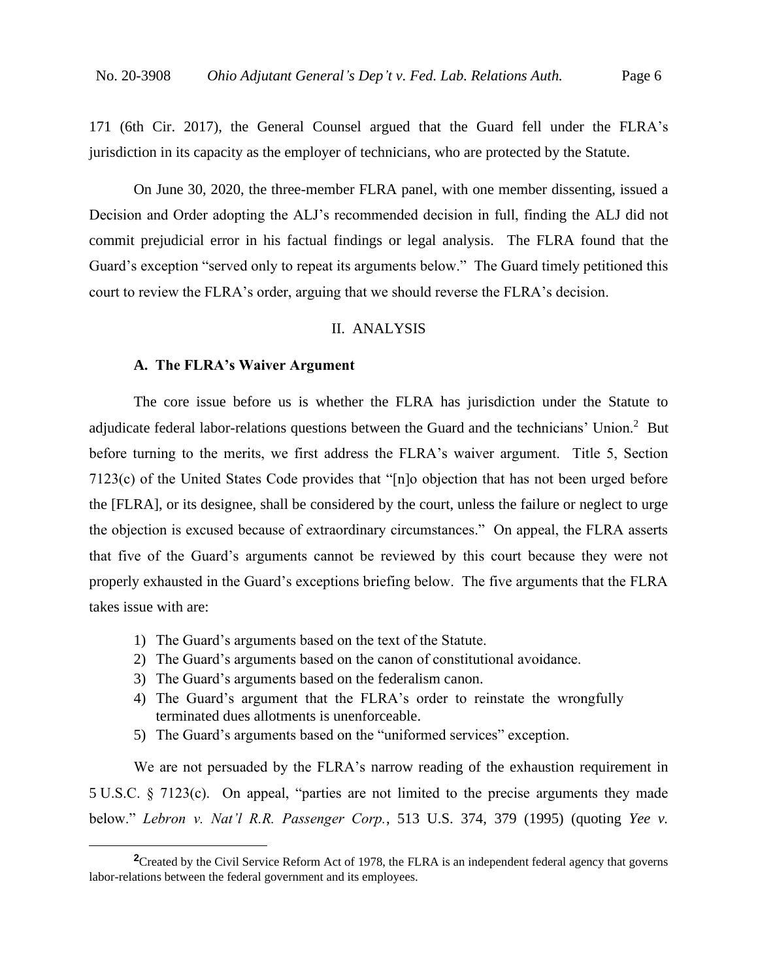171 (6th Cir. 2017), the General Counsel argued that the Guard fell under the FLRA's jurisdiction in its capacity as the employer of technicians, who are protected by the Statute.

On June 30, 2020, the three-member FLRA panel, with one member dissenting, issued a Decision and Order adopting the ALJ's recommended decision in full, finding the ALJ did not commit prejudicial error in his factual findings or legal analysis. The FLRA found that the Guard's exception "served only to repeat its arguments below." The Guard timely petitioned this court to review the FLRA's order, arguing that we should reverse the FLRA's decision.

# II. ANALYSIS

#### **A. The FLRA's Waiver Argument**

The core issue before us is whether the FLRA has jurisdiction under the Statute to adjudicate federal labor-relations questions between the Guard and the technicians' Union.<sup>2</sup> But before turning to the merits, we first address the FLRA's waiver argument. Title 5, Section 7123(c) of the United States Code provides that "[n]o objection that has not been urged before the [FLRA], or its designee, shall be considered by the court, unless the failure or neglect to urge the objection is excused because of extraordinary circumstances." On appeal, the FLRA asserts that five of the Guard's arguments cannot be reviewed by this court because they were not properly exhausted in the Guard's exceptions briefing below. The five arguments that the FLRA takes issue with are:

- 1) The Guard's arguments based on the text of the Statute.
- 2) The Guard's arguments based on the canon of constitutional avoidance.
- 3) The Guard's arguments based on the federalism canon.
- 4) The Guard's argument that the FLRA's order to reinstate the wrongfully terminated dues allotments is unenforceable.
- 5) The Guard's arguments based on the "uniformed services" exception.

We are not persuaded by the FLRA's narrow reading of the exhaustion requirement in 5 U.S.C. § 7123(c). On appeal, "parties are not limited to the precise arguments they made below." *Lebron v. Nat'l R.R. Passenger Corp.*, 513 U.S. 374, 379 (1995) (quoting *Yee v.* 

<sup>&</sup>lt;sup>2</sup>Created by the Civil Service Reform Act of 1978, the FLRA is an independent federal agency that governs labor-relations between the federal government and its employees.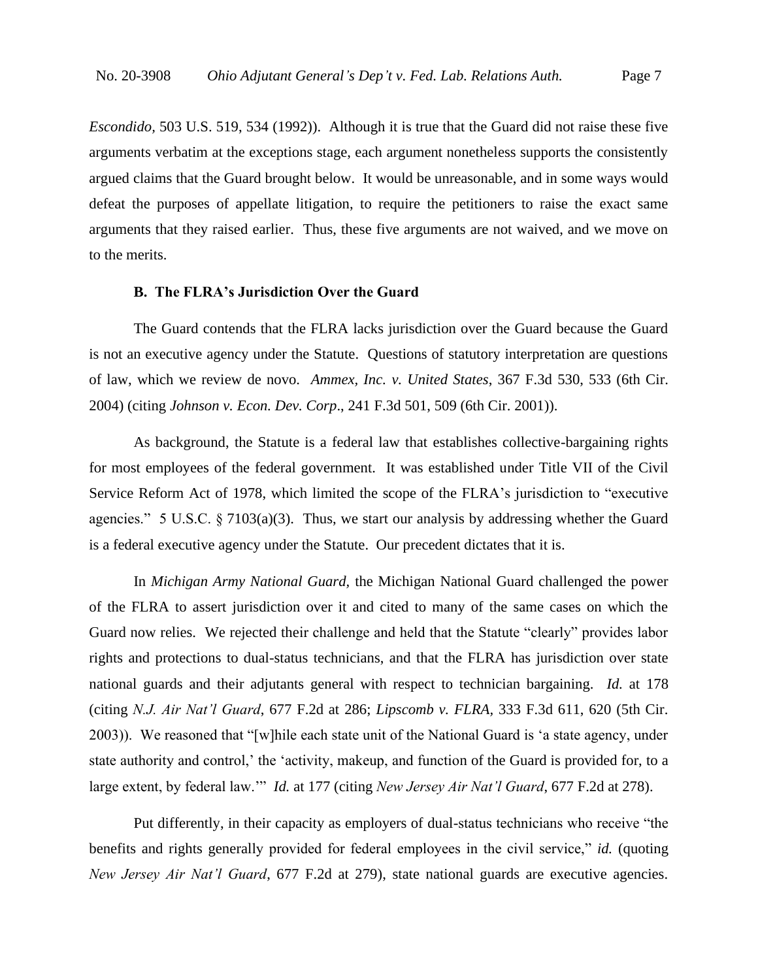*Escondido,* 503 U.S. 519, 534 (1992)). Although it is true that the Guard did not raise these five arguments verbatim at the exceptions stage, each argument nonetheless supports the consistently argued claims that the Guard brought below. It would be unreasonable, and in some ways would defeat the purposes of appellate litigation, to require the petitioners to raise the exact same arguments that they raised earlier. Thus, these five arguments are not waived, and we move on to the merits.

## **B. The FLRA's Jurisdiction Over the Guard**

The Guard contends that the FLRA lacks jurisdiction over the Guard because the Guard is not an executive agency under the Statute. Questions of statutory interpretation are questions of law, which we review de novo. *Ammex, Inc. v. United States*, 367 F.3d 530, 533 (6th Cir. 2004) (citing *Johnson v. Econ. Dev. Corp*., 241 F.3d 501, 509 (6th Cir. 2001)).

As background, the Statute is a federal law that establishes collective-bargaining rights for most employees of the federal government. It was established under Title VII of the Civil Service Reform Act of 1978, which limited the scope of the FLRA's jurisdiction to "executive agencies." 5 U.S.C.  $\S$  7103(a)(3). Thus, we start our analysis by addressing whether the Guard is a federal executive agency under the Statute. Our precedent dictates that it is.

In *Michigan Army National Guard,* the Michigan National Guard challenged the power of the FLRA to assert jurisdiction over it and cited to many of the same cases on which the Guard now relies. We rejected their challenge and held that the Statute "clearly" provides labor rights and protections to dual-status technicians, and that the FLRA has jurisdiction over state national guards and their adjutants general with respect to technician bargaining. *Id.* at 178 (citing *N.J. Air Nat'l Guard*, 677 F.2d at 286; *Lipscomb v. FLRA,* 333 F.3d 611, 620 (5th Cir. 2003)). We reasoned that "[w]hile each state unit of the National Guard is 'a state agency, under state authority and control,' the 'activity, makeup, and function of the Guard is provided for, to a large extent, by federal law.'" *Id.* at 177 (citing *New Jersey Air Nat'l Guard*, 677 F.2d at 278).

Put differently, in their capacity as employers of dual-status technicians who receive "the benefits and rights generally provided for federal employees in the civil service," *id.* (quoting *New Jersey Air Nat'l Guard*, 677 F.2d at 279), state national guards are executive agencies.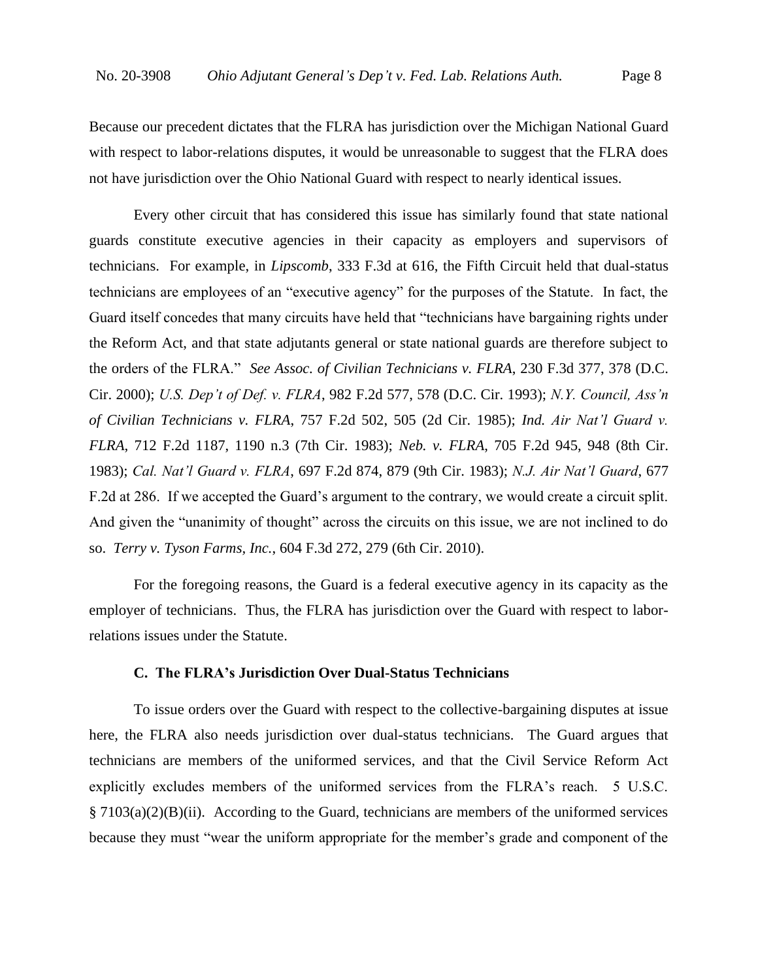Because our precedent dictates that the FLRA has jurisdiction over the Michigan National Guard with respect to labor-relations disputes, it would be unreasonable to suggest that the FLRA does not have jurisdiction over the Ohio National Guard with respect to nearly identical issues.

Every other circuit that has considered this issue has similarly found that state national guards constitute executive agencies in their capacity as employers and supervisors of technicians. For example, in *Lipscomb*, 333 F.3d at 616, the Fifth Circuit held that dual-status technicians are employees of an "executive agency" for the purposes of the Statute. In fact, the Guard itself concedes that many circuits have held that "technicians have bargaining rights under the Reform Act, and that state adjutants general or state national guards are therefore subject to the orders of the FLRA." *See Assoc. of Civilian Technicians v. FLRA*, 230 F.3d 377, 378 (D.C. Cir. 2000); *U.S. Dep't of Def. v. FLRA*, 982 F.2d 577, 578 (D.C. Cir. 1993); *N.Y. Council, Ass'n of Civilian Technicians v. FLRA*, 757 F.2d 502, 505 (2d Cir. 1985); *Ind. Air Nat'l Guard v. FLRA*, 712 F.2d 1187, 1190 n.3 (7th Cir. 1983); *Neb. v. FLRA*, 705 F.2d 945, 948 (8th Cir. 1983); *Cal. Nat'l Guard v. FLRA*, 697 F.2d 874, 879 (9th Cir. 1983); *N.J. Air Nat'l Guard*, 677 F.2d at 286. If we accepted the Guard's argument to the contrary, we would create a circuit split. And given the "unanimity of thought" across the circuits on this issue, we are not inclined to do so. *Terry v. Tyson Farms, Inc.*, 604 F.3d 272, 279 (6th Cir. 2010).

For the foregoing reasons, the Guard is a federal executive agency in its capacity as the employer of technicians. Thus, the FLRA has jurisdiction over the Guard with respect to laborrelations issues under the Statute.

### **C. The FLRA's Jurisdiction Over Dual-Status Technicians**

To issue orders over the Guard with respect to the collective-bargaining disputes at issue here, the FLRA also needs jurisdiction over dual-status technicians. The Guard argues that technicians are members of the uniformed services, and that the Civil Service Reform Act explicitly excludes members of the uniformed services from the FLRA's reach. 5 U.S.C. § 7103(a)(2)(B)(ii). According to the Guard, technicians are members of the uniformed services because they must "wear the uniform appropriate for the member's grade and component of the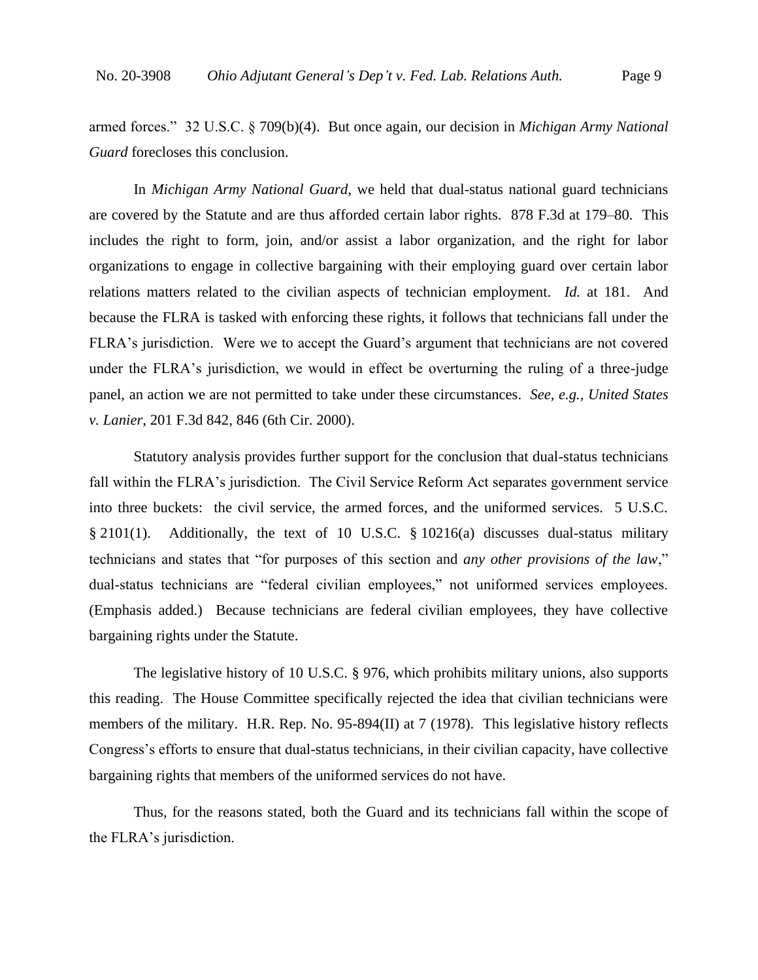armed forces." 32 U.S.C. § 709(b)(4). But once again, our decision in *Michigan Army National Guard* forecloses this conclusion.

In *Michigan Army National Guard*, we held that dual-status national guard technicians are covered by the Statute and are thus afforded certain labor rights. 878 F.3d at 179–80. This includes the right to form, join, and/or assist a labor organization, and the right for labor organizations to engage in collective bargaining with their employing guard over certain labor relations matters related to the civilian aspects of technician employment. *Id.* at 181. And because the FLRA is tasked with enforcing these rights, it follows that technicians fall under the FLRA's jurisdiction. Were we to accept the Guard's argument that technicians are not covered under the FLRA's jurisdiction, we would in effect be overturning the ruling of a three-judge panel, an action we are not permitted to take under these circumstances. *See, e.g., United States v. Lanier*, 201 F.3d 842, 846 (6th Cir. 2000).

Statutory analysis provides further support for the conclusion that dual-status technicians fall within the FLRA's jurisdiction. The Civil Service Reform Act separates government service into three buckets: the civil service, the armed forces, and the uniformed services. 5 U.S.C. § 2101(1). Additionally, the text of 10 U.S.C. § 10216(a) discusses dual-status military technicians and states that "for purposes of this section and *any other provisions of the law*," dual-status technicians are "federal civilian employees," not uniformed services employees. (Emphasis added.) Because technicians are federal civilian employees, they have collective bargaining rights under the Statute.

The legislative history of 10 U.S.C. § 976, which prohibits military unions, also supports this reading. The House Committee specifically rejected the idea that civilian technicians were members of the military. H.R. Rep. No. 95-894(II) at 7 (1978). This legislative history reflects Congress's efforts to ensure that dual-status technicians, in their civilian capacity, have collective bargaining rights that members of the uniformed services do not have.

Thus, for the reasons stated, both the Guard and its technicians fall within the scope of the FLRA's jurisdiction.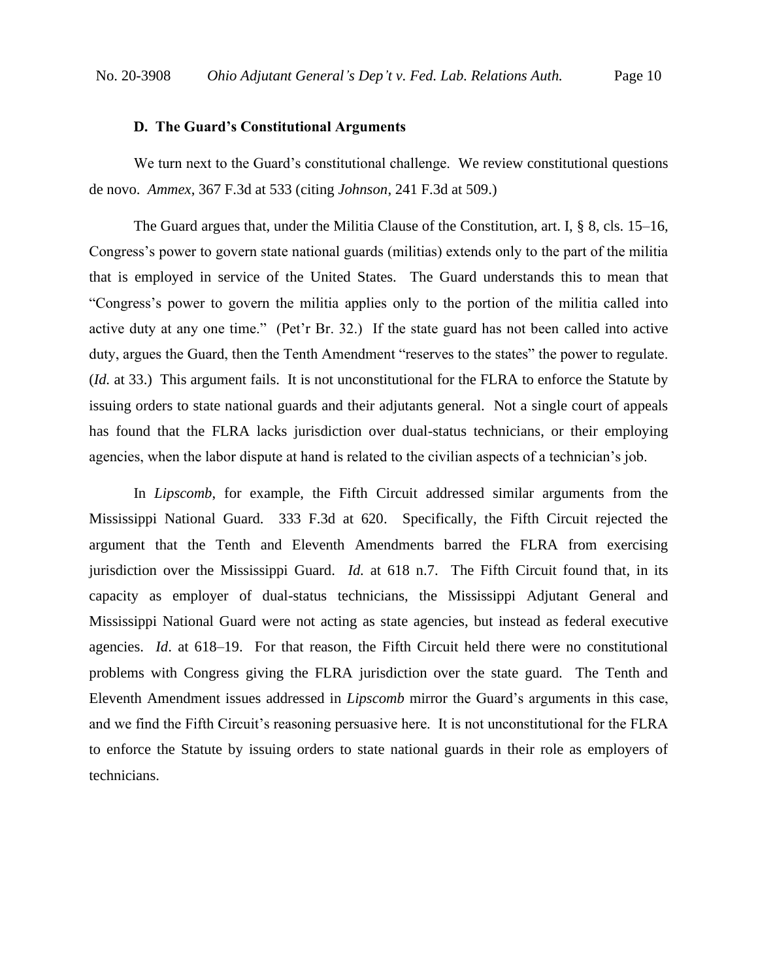#### **D. The Guard's Constitutional Arguments**

We turn next to the Guard's constitutional challenge. We review constitutional questions de novo. *Ammex*, 367 F.3d at 533 (citing *Johnson*, 241 F.3d at 509.)

The Guard argues that, under the Militia Clause of the Constitution, art. I, § 8, cls. 15–16, Congress's power to govern state national guards (militias) extends only to the part of the militia that is employed in service of the United States. The Guard understands this to mean that "Congress's power to govern the militia applies only to the portion of the militia called into active duty at any one time." (Pet'r Br. 32.) If the state guard has not been called into active duty, argues the Guard, then the Tenth Amendment "reserves to the states" the power to regulate. (*Id.* at 33.) This argument fails. It is not unconstitutional for the FLRA to enforce the Statute by issuing orders to state national guards and their adjutants general. Not a single court of appeals has found that the FLRA lacks jurisdiction over dual-status technicians, or their employing agencies, when the labor dispute at hand is related to the civilian aspects of a technician's job.

In *Lipscomb*, for example, the Fifth Circuit addressed similar arguments from the Mississippi National Guard. 333 F.3d at 620. Specifically, the Fifth Circuit rejected the argument that the Tenth and Eleventh Amendments barred the FLRA from exercising jurisdiction over the Mississippi Guard. *Id.* at 618 n.7. The Fifth Circuit found that, in its capacity as employer of dual-status technicians, the Mississippi Adjutant General and Mississippi National Guard were not acting as state agencies, but instead as federal executive agencies. *Id*. at 618–19. For that reason, the Fifth Circuit held there were no constitutional problems with Congress giving the FLRA jurisdiction over the state guard. The Tenth and Eleventh Amendment issues addressed in *Lipscomb* mirror the Guard's arguments in this case, and we find the Fifth Circuit's reasoning persuasive here. It is not unconstitutional for the FLRA to enforce the Statute by issuing orders to state national guards in their role as employers of technicians.